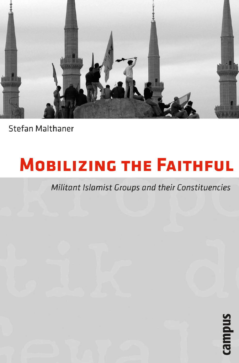

Stefan Malthaner

## **MOBILIZING THE FAITHFUL**

## Militant Islamist Groups and their Constituencies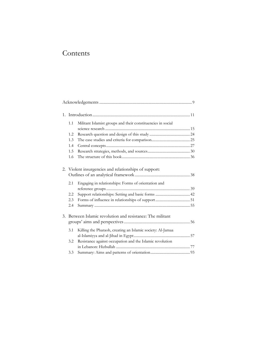## Contents

|    | 1.1                                                     | Militant Islamist groups and their constituencies in social |  |  |  |
|----|---------------------------------------------------------|-------------------------------------------------------------|--|--|--|
|    |                                                         |                                                             |  |  |  |
|    | 1.2                                                     |                                                             |  |  |  |
|    | 1.3                                                     |                                                             |  |  |  |
|    | 1.4                                                     |                                                             |  |  |  |
|    | 1.5                                                     |                                                             |  |  |  |
|    | 1.6                                                     |                                                             |  |  |  |
|    |                                                         |                                                             |  |  |  |
|    | 2. Violent insurgencies and relationships of support:   |                                                             |  |  |  |
|    |                                                         |                                                             |  |  |  |
|    | 2.1                                                     | Engaging in relationships: Forms of orientation and         |  |  |  |
|    |                                                         |                                                             |  |  |  |
|    | 2.2                                                     |                                                             |  |  |  |
|    | 2.3                                                     |                                                             |  |  |  |
|    | 2.4                                                     |                                                             |  |  |  |
|    |                                                         |                                                             |  |  |  |
| 3. | Between Islamic revolution and resistance: The militant |                                                             |  |  |  |
|    |                                                         |                                                             |  |  |  |
|    | 3.1                                                     | Killing the Pharaoh, creating an Islamic society: Al-Jamaa  |  |  |  |
|    |                                                         |                                                             |  |  |  |
|    | 3.2                                                     | Resistance against occupation and the Islamic revolution    |  |  |  |
|    |                                                         |                                                             |  |  |  |
|    | 3.3                                                     |                                                             |  |  |  |
|    |                                                         |                                                             |  |  |  |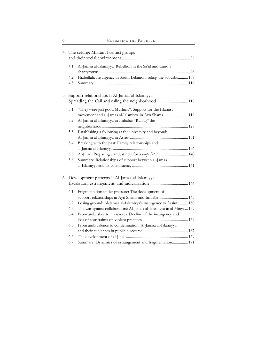|    | 4. The setting: Militant Islamist groups           |                                                                      |  |  |  |
|----|----------------------------------------------------|----------------------------------------------------------------------|--|--|--|
|    |                                                    |                                                                      |  |  |  |
|    | 4.1                                                | Al-Jamaa al-Islamiyya: Rebellion in the Sa'id and Cairo's            |  |  |  |
|    | 4.2                                                | Hizbullah: Insurgency in South Lebanon, ruling the suburbs 108       |  |  |  |
|    | 4.3                                                |                                                                      |  |  |  |
|    |                                                    |                                                                      |  |  |  |
| 5. | Support relationships I: Al-Jamaa al-Islamiyya -   |                                                                      |  |  |  |
|    |                                                    |                                                                      |  |  |  |
|    |                                                    |                                                                      |  |  |  |
|    | 5.1                                                | "They were just good Muslims": Support for the Islamist              |  |  |  |
|    |                                                    | movement and al-Jamaa al-Islamiyya in Ayn Shams 119                  |  |  |  |
|    | 5.2                                                | Al-Jamaa al-Islamiyya in Imbaba: "Ruling" the                        |  |  |  |
|    | 5.3                                                | Establishing a following at the university and beyond:               |  |  |  |
|    |                                                    |                                                                      |  |  |  |
|    | 5.4                                                | Breaking with the past: Family relationships and                     |  |  |  |
|    |                                                    |                                                                      |  |  |  |
|    | 5.5                                                | Al-Jihad: Preparing clandestinely for a coup d'état 140              |  |  |  |
|    | 5.6                                                | Summary: Relationships of support between al-Jamaa                   |  |  |  |
|    |                                                    |                                                                      |  |  |  |
|    |                                                    |                                                                      |  |  |  |
|    | 6. Development patterns I: Al-Jamaa al-Islamiyya - |                                                                      |  |  |  |
|    |                                                    |                                                                      |  |  |  |
|    | 6.1                                                | Fragmentation under pressure: The development of                     |  |  |  |
|    |                                                    | support relationships in Ayn Shams and Imbaba 145                    |  |  |  |
|    | 6.2                                                | Losing ground: Al-Jamaa al-Islamiyya's insurgency in Assiut  150     |  |  |  |
|    | 6.3                                                | The war against collaborators: Al-Jamaa al-Islamiyya in al-Minya 159 |  |  |  |
|    | 6.4                                                | From ambushes to massacres: Decline of the insurgency and            |  |  |  |
|    |                                                    |                                                                      |  |  |  |
|    | 6.5                                                | From ambivalence to condemnation: Al-Jamaa al-Islamiyya              |  |  |  |
|    |                                                    |                                                                      |  |  |  |
|    | 6.6                                                |                                                                      |  |  |  |
|    | 6.7                                                | Summary: Dynamics of estrangement and fragmentation 171              |  |  |  |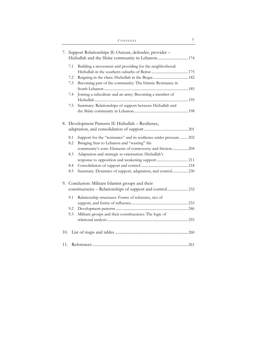| 7.  | Support Relationships II: Outcast, defender, provider -<br>Hizbullah and the Shiite community in Lebanon 174 |                                                                     |  |  |  |  |
|-----|--------------------------------------------------------------------------------------------------------------|---------------------------------------------------------------------|--|--|--|--|
|     | 7.1                                                                                                          | Building a movement and providing for the neighborhood:             |  |  |  |  |
|     |                                                                                                              |                                                                     |  |  |  |  |
|     | 7.2                                                                                                          |                                                                     |  |  |  |  |
|     | 7.3                                                                                                          | Becoming part of the community: The Islamic Resistance in           |  |  |  |  |
|     | 7.4                                                                                                          | Joining a subculture and an army: Becoming a member of              |  |  |  |  |
|     |                                                                                                              |                                                                     |  |  |  |  |
|     | 7.5                                                                                                          | Summary: Relationships of support between Hizbullah and             |  |  |  |  |
|     |                                                                                                              |                                                                     |  |  |  |  |
|     |                                                                                                              |                                                                     |  |  |  |  |
|     | 8. Development Patterns II: Hizbullah - Resilience,                                                          |                                                                     |  |  |  |  |
|     |                                                                                                              |                                                                     |  |  |  |  |
|     | 8.1                                                                                                          | Support for the "resistance" and its resilience under pressure  202 |  |  |  |  |
|     | 8.2                                                                                                          | Bringing Iran to Lebanon and "wasting" the                          |  |  |  |  |
|     |                                                                                                              | community's sons: Elements of controversy and friction 204          |  |  |  |  |
|     | 8.3                                                                                                          | Adaptation and strategic re-orientation: Hizbullah's                |  |  |  |  |
|     |                                                                                                              |                                                                     |  |  |  |  |
|     | 8.4                                                                                                          |                                                                     |  |  |  |  |
|     | 8.5                                                                                                          | Summary: Dynamics of support, adaptation, and control 230           |  |  |  |  |
|     |                                                                                                              |                                                                     |  |  |  |  |
|     |                                                                                                              | 9. Conclusion: Militant Islamist groups and their                   |  |  |  |  |
|     | constituencies - Relationships of support and control 232                                                    |                                                                     |  |  |  |  |
|     |                                                                                                              |                                                                     |  |  |  |  |
|     | 9.1                                                                                                          | Relationship structures: Forms of reference, ties of                |  |  |  |  |
|     |                                                                                                              |                                                                     |  |  |  |  |
|     | 9.2                                                                                                          |                                                                     |  |  |  |  |
|     | 9.3                                                                                                          | Militant groups and their constituencies: The logic of              |  |  |  |  |
|     |                                                                                                              |                                                                     |  |  |  |  |
| 10. |                                                                                                              |                                                                     |  |  |  |  |
|     |                                                                                                              |                                                                     |  |  |  |  |
| 11. |                                                                                                              |                                                                     |  |  |  |  |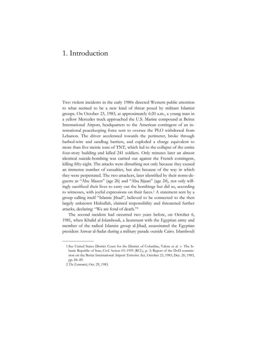## 1. Introduction

Two violent incidents in the early 1980s directed Western public attention to what seemed to be a new kind of threat posed by militant Islamist groups. On October 23, 1983, at approximately 6:20 a.m., a young man in a yellow Mercedes truck approached the U.S. Marine compound at Beirut International Airport, headquarters to the American contingent of an international peacekeeping force sent to oversee the PLO withdrawal from Lebanon. The driver accelerated towards the perimeter, broke through barbed-wire and sandbag barriers, and exploded a charge equivalent to more than five metric tons of TNT, which led to the collapse of the entire four-story building and killed 241 soldiers. Only minutes later an almost identical suicide-bombing was carried out against the French contingent, killing fifty-eight. The attacks were disturbing not only because they caused an immense number of casualties, but also because of the way in which they were perpetrated. The two attackers, later identified by their noms-deguerre as "Abu Mazen" (age 26) and "Abu Sijaan" (age 24), not only willingly sacrificed their lives to carry out the bombings but did so, according to witnesses, with joyful expressions on their faces.1 A statement sent by a group calling itself "Islamic Jihad", believed to be connected to the then largely unknown Hizbullah, claimed responsibility and threatened further attacks, declaring: "We are fond of death."2

The second incident had occurred two years before, on October 6, 1981, when Khalid al-Islambouli, a lieutenant with the Egyptian army and member of the radical Islamist group al-Jihad, assassinated the Egyptian president Anwar al-Sadat during a military parade outside Cairo. Islambouli

——————

 <sup>1</sup> See United States District Court for the District of Columbia, Valore et al. v. The Islamic Republic of Iran, Civil Action 03–1959 (RCL), p. 3; Report of the DoD commission on the Beirut International Airport Terrorist Act, October 23, 1983, Dec. 20, 1983, pp. 84–89.

 <sup>2</sup> *The Economist*, Oct. 29, 1983.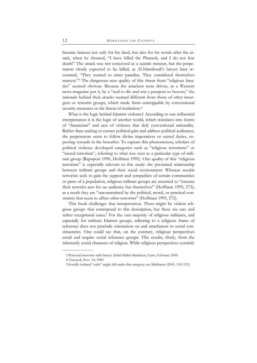became famous not only for his deed, but also for his words after the attack, when he shouted, "I have killed the Pharaoh, and I do not fear death!" The attack was not conceived as a suicide mission, but the perpetrators clearly expected to be killed, as Al-Islambouli's lawyer later recounted, "They wanted to enter paradise. They considered themselves martyrs."3 The dangerous new quality of this threat from "religious fanatics" seemed obvious. Because the attackers were driven, as a Western news-magazine put it, by a "zeal to die and win a passport to heaven," the rationale behind their attacks seemed different from those of other insurgent or terrorist groups, which made them unstoppable by conventional security measures or the threat of retaliation.<sup>4</sup>

What is the logic behind Islamist violence? According to one influential interpretation it is the logic of another world, which translates into forms of "fanaticism" and acts of violence that defy conventional rationality. Rather than seeking to extract political gain and address political audiences, the perpetrators seem to follow divine imperatives or sacred duties, expecting rewards in the hereafter. To capture this phenomenon, scholars of political violence developed categories such as "religious terrorisms" or "sacred terrorism", referring to what was seen as a particular type of militant group (Rapoport 1990, Hoffman 1995). One quality of this "religious terrorism" is especially relevant to this study: the presumed relationship between militant groups and their social environment. Whereas secular terrorists seek to gain the support and sympathies of certain communities or parts of a population, religious militant groups are assumed to "execute their terrorist acts for no audience but themselves" (Hoffman 1995, 273); as a result they are "unconstrained by the political, moral, or practical constraints that seem to affect other terrorists" (Hoffman 1995, 272).

This book challenges that interpretation. There might be violent religious groups that correspond to this description, but these are rare and rather exceptional cases.<sup>5</sup> For the vast majority of religious militants, and especially for militant Islamist groups, adhering to a religious frame of reference does not preclude orientation on and attachment to social constituencies. One could say that, on the contrary, religious perspectives entail and require social reference groups. This results, firstly, from the inherently social character of religion. While religious perspectives certainly

——————

 <sup>3</sup> Personal interview with lawyer Abdel Halim Mamdour, Cairo, February 2005.

 <sup>4</sup> *Newsweek*, Nov. 14, 1983.

 <sup>5</sup> Socially isolated "cults" might fall under this category; see Malthaner (2005, 118/119).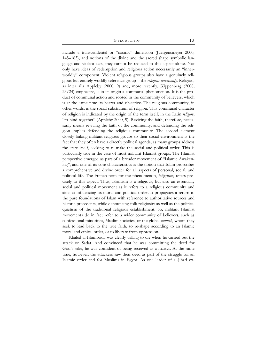include a transcendental or "cosmic" dimension (Juergensmeyer 2000, 145–163), and notions of the divine and the sacred shape symbolic language and violent acts, they cannot be reduced to this aspect alone. Not only have ideas of redemption and religious action necessarily an "innerworldly" component. Violent religious groups also have a genuinely religious but entirely worldly reference group – the *religious community*. Religion, as inter alia Appleby (2000, 9) and, more recently, Kippenberg (2008, 23/24) emphasize, is in its origin a communal phenomenon. It is the product of communal action and rooted in the community of believers, which is at the same time its bearer and objective. The religious community, in other words, is the social substratum of religion. This communal character of religion is indicated by the origin of the term itself, in the Latin *religare*, "to bind together" (Appleby 2000, 9). Reviving the faith, therefore, necessarily means reviving the faith of the community, and defending the religion implies defending the religious community. The second element closely linking militant religious groups to their social environment is the fact that they often have a directly political agenda, as many groups address the state itself, seeking to re-make the social and political order. This is particularly true in the case of most militant Islamist groups. The Islamist perspective emerged as part of a broader movement of "Islamic Awakening", and one of its core characteristics is the notion that Islam proscribes a comprehensive and divine order for all aspects of personal, social, and political life. The French term for the phenomenon, *intégrisme*, refers precisely to this aspect. Thus, Islamism is a religious, but also an essentially social and political movement as it refers to a religious community and aims at influencing its moral and political order. It propagates a return to the pure foundations of Islam with reference to authoritative sources and historic precedents, while denouncing folk religiosity as well as the political quietism of the traditional religious establishment. So, militant Islamist movements do in fact refer to a wider community of believers, such as confessional minorities, Muslim societies, or the global *ummah*, whom they seek to lead back to the true faith, to re-shape according to an Islamic moral and ethical order, or to liberate from oppression.

Khaled al-Islambouli was clearly willing to die when he carried out the attack on Sadat. And convinced that he was committing the deed for God's sake, he was confident of being received as a martyr. At the same time, however, the attackers saw their deed as part of the struggle for an Islamic order and for Muslims in Egypt. As one leader of al-Jihad ex-